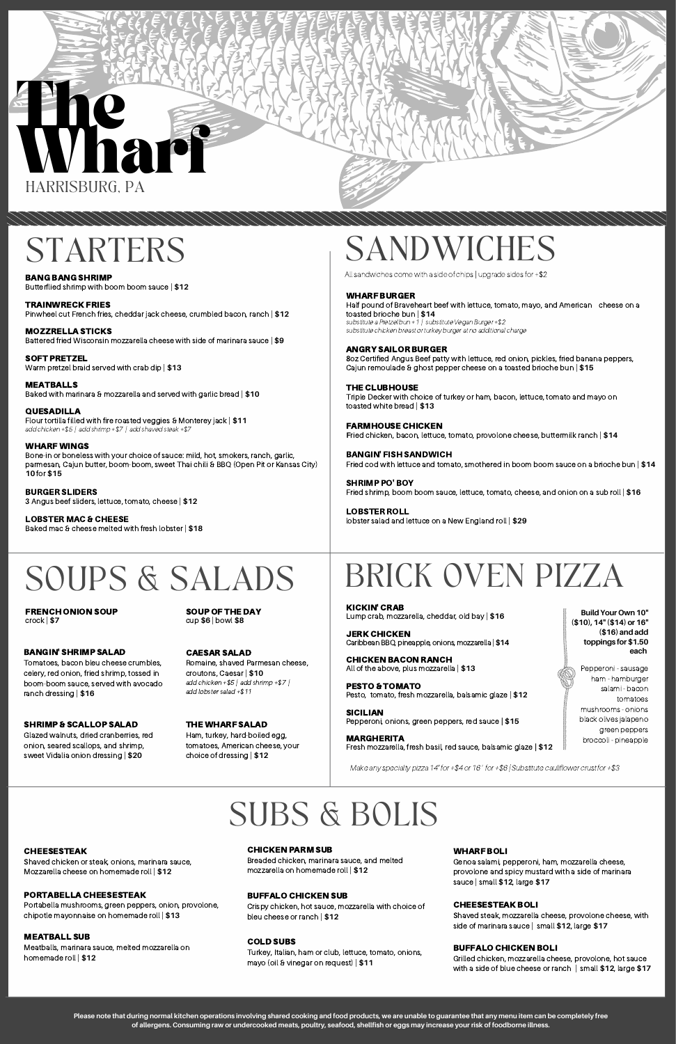# BRICK OVEN PIZZA

### SOUPS & SALADS

**BuildYour Own10" (\$10),14"(\$14) or16" (\$16) andadd toppings for\$1.50 each**

Pepperoni - sausage ham - hamburger salami - bacon tomatoes mushrooms - onions black olives jalapeno green peppers broccoli - pineapple

FRENCH ONION SOUP crock | **\$7**

BANG BANG SHRIMP Butterflied shrimp with boom boom sauce | **\$12**

TRAINWRECK FRIES Pinwheel cut French fries, cheddar jack cheese, crumbled bacon, ranch | **\$12**

MOZZRELLA STICKS Battered fried Wisconsin mozzarella cheese with side of marinara sauce | **\$9**

SOFT PRETZEL Warm pretzel braid served with crab dip | **\$13**

MEATBALLS Baked with marinara & mozzarella and served with garlic bread | **\$10** Half pound of Braveheart beef with lettuce, tomato, mayo, and American cheese on a toasted brioche bun | **\$14** substitute a Pretzel bun +1 | substitute Vegan Burger +\$2

QUESADILLA Flour tortilla filled with fire roasted veggies & Monterey jack | **\$11** add chicken +\$5 | add shrimp +\$7 | add shaved steak +\$7

WHARF WINGS Bone-in or boneless with your choice of sauce: mild, hot, smokers, ranch, garlic, parmesan, Cajun butter, boom-boom, sweet Thai chili & BBQ (Open Pit or Kansas City) **10** for **\$15**

BURGER SLIDERS 3 Angus beef sliders, lettuce, tomato, cheese | **\$12**

LOBSTER MAC & CHEESE Baked mac & cheese melted with fresh lobster | **\$18**

#### BANGIN' SHRIMP SALAD

JERK CHICKEN Caribbean BBQ, pineapple, onions, mozzarella | \$14

Tomatoes, bacon bleu cheese crumbles, celery, red onion, fried shrimp, tossed in boom-boom sauce, served with avocado ranch dressing | **\$16**

#### THE WHARF SALAD

Ham, turkey, hard-boiled egg, tomatoes, American cheese, your choice of dressing | **\$12**

### STARTERS SANDWICHES

#### WHARF BURGER

substitute chicken breast or turkey burger at no additional charge

#### ANGRY SAILOR BURGER

8oz Certified Angus Beef patty with lettuce, red onion, pickles, fried banana peppers, Cajun remoulade & ghost pepper cheese on a toasted brioche bun | **\$15**

#### THE CLUBHOUSE

Triple Decker with choice of turkey or ham, bacon, lettuce, tomato and mayo on toasted white bread | **\$13**

#### FARMHOUSE CHICKEN

**F**ried chicken, bacon, lettuce, tomato, provolone cheese, buttermilk ranch | **\$14**

BANGIN' FISH SANDWICH Fried cod with lettuce and tomato, smothered in boom boom sauce on a brioche bun | **\$14**

SHRIMP PO' BOY Fried shrimp, boom boom sauce, lettuce, tomato, cheese, and onion on a sub roll | **\$16**



LOBSTER ROLL lobster salad and lettuce on a New England roll | **\$29**

KICKIN' CRAB Lump crab, mozzarella, cheddar, old bay | **\$16**

CHICKEN BACON RANCH All of the above, plus mozzarella | **\$13**

PESTO & TOMATO Pesto, tomato, fresh mozzarella, balsamic glaze | **\$12**

SICILIAN Pepperoni, onions, green peppers, red sauce **| \$15**

MARGHERITA Fresh mozzarella, fresh basil, red sauce, balsamic glaze **| \$12**

### SUBS & BOLIS

#### CHEESESTEAK

Shaved chicken or steak, onions, marinara sauce, Mozzarella cheese on homemade roll | **\$12**

#### PORTABELLA CHEESESTEAK

Portabella mushrooms, green peppers, onion, provolone, chipotle mayonnaise on homemade roll | **\$13**

#### MEATBALL SUB

Meatballs, marinara sauce, melted mozzarella on homemade roll | **\$12**

#### CHICKEN PARM SUB

Breaded chicken, marinara sauce, and melted mozzarella on homemade roll | **\$12**

#### BUFFALO CHICKEN SUB

Crispy chicken, hot sauce, mozzarella with choice of bleu cheese or ranch | **\$12**

#### COLD SUBS

Turkey, Italian, ham or club, lettuce, tomato, onions, mayo (oil & vinegar on request) | **\$11**

#### WHARF BOLI

Genoa salami, pepperoni, ham, mozzarella cheese, provolone and spicy mustard with a side of marinara sauce | small **\$12**, large **\$17**

#### CHEESESTEAK BOLI

Shaved steak, mozzarella cheese, provolone cheese, with side of marinara sauce | small **\$12**, large **\$17**

#### BUFFALO CHICKEN BOLI

Grilled chicken, mozzarella cheese, provolone, hot sauce with a side of blue cheese or ranch | small **\$12**, large **\$17**

Please note that during normal kitchen operations involving shared cooking and food products, we are unable to guarantee that any menu item can be completely free of allergens. Consuming raw or undercooked meats, poultry, seafood, shellfish or eggs may increase your risk of foodborne illness.

CAESAR SALAD Romaine, shaved Parmesan cheese, croutons, Caesar | **\$10** add chicken +\$5 | add shrimp +\$7 | add lobster salad +\$11

#### SHRIMP & SCALLOP SALAD

Glazed walnuts, dried cranberries, red onion, seared scallops, and shrimp, sweet Vidalia onion dressing | **\$20**

All sandwiches come with a side of chips | upgrade sides for +\$2

SOUP OF THE DAY cup **\$6** | bowl **\$8**